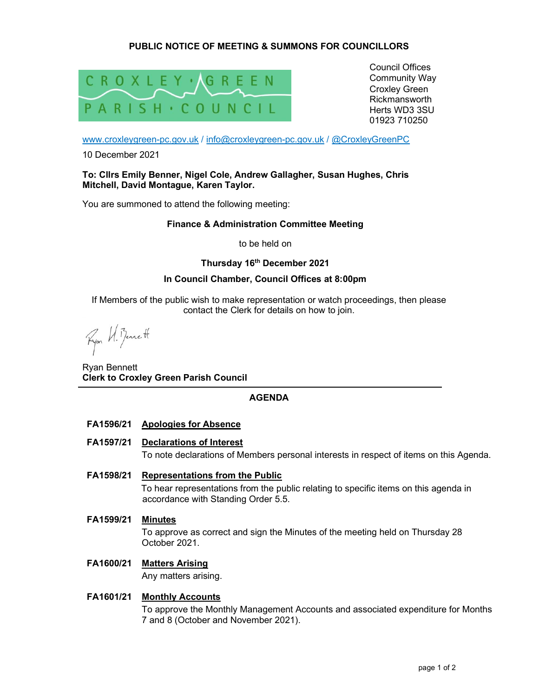# PUBLIC NOTICE OF MEETING & SUMMONS FOR COUNCILLORS



Council Offices Community Way Croxley Green Rickmansworth Herts WD3 3SU 01923 710250

www.croxleygreen-pc.gov.uk / info@croxleygreen-pc.gov.uk / @CroxleyGreenPC

10 December 2021

### To: Cllrs Emily Benner, Nigel Cole, Andrew Gallagher, Susan Hughes, Chris Mitchell, David Montague, Karen Taylor.

You are summoned to attend the following meeting:

## Finance & Administration Committee Meeting

to be held on

## Thursday 16<sup>th</sup> December 2021

## In Council Chamber, Council Offices at 8:00pm

If Members of the public wish to make representation or watch proceedings, then please contact the Clerk for details on how to join.

Ryon W. Benett

Ryan Bennett Clerk to Croxley Green Parish Council

# AGENDA

# FA1596/21 Apologies for Absence

FA1597/21 Declarations of Interest

To note declarations of Members personal interests in respect of items on this Agenda.

FA1598/21 Representations from the Public

To hear representations from the public relating to specific items on this agenda in accordance with Standing Order 5.5.

FA1599/21 Minutes

To approve as correct and sign the Minutes of the meeting held on Thursday 28 October 2021.

# FA1600/21 Matters Arising

Any matters arising.

# FA1601/21 Monthly Accounts

To approve the Monthly Management Accounts and associated expenditure for Months 7 and 8 (October and November 2021).